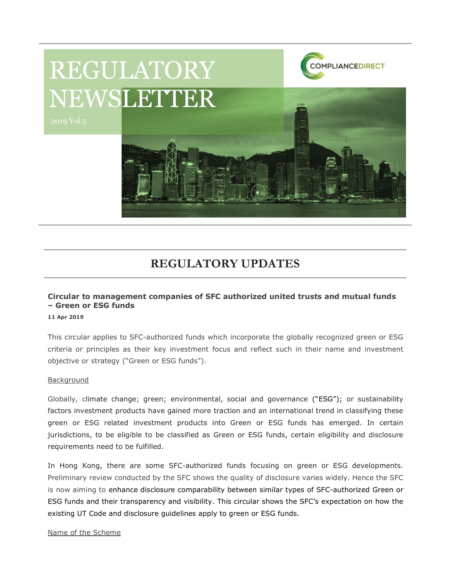

# REGULATORY UPDATES

## Circular to management companies of SFC authorized united trusts and mutual funds – Green or ESG funds

#### 11 Apr 2019

This circular applies to SFC-authorized funds which incorporate the globally recognized green or ESG criteria or principles as their key investment focus and reflect such in their name and investment objective or strategy ("Green or ESG funds").

#### Background

Globally, climate change; green; environmental, social and governance ("ESG"); or sustainability factors investment products have gained more traction and an international trend in classifying these green or ESG related investment products into Green or ESG funds has emerged. In certain jurisdictions, to be eligible to be classified as Green or ESG funds, certain eligibility and disclosure requirements need to be fulfilled.

In Hong Kong, there are some SFC-authorized funds focusing on green or ESG developments. Preliminary review conducted by the SFC shows the quality of disclosure varies widely. Hence the SFC is now aiming to enhance disclosure comparability between similar types of SFC-authorized Green or ESG funds and their transparency and visibility. This circular shows the SFC's expectation on how the existing UT Code and disclosure guidelines apply to green or ESG funds.

### Name of the Scheme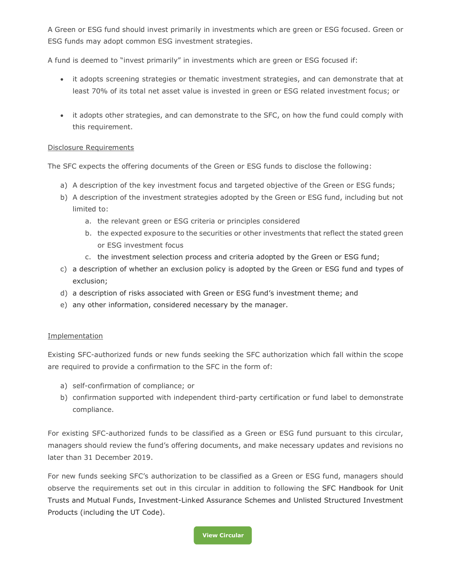A Green or ESG fund should invest primarily in investments which are green or ESG focused. Green or ESG funds may adopt common ESG investment strategies.

A fund is deemed to "invest primarily" in investments which are green or ESG focused if:

- it adopts screening strategies or thematic investment strategies, and can demonstrate that at least 70% of its total net asset value is invested in green or ESG related investment focus; or
- it adopts other strategies, and can demonstrate to the SFC, on how the fund could comply with this requirement.

### Disclosure Requirements

The SFC expects the offering documents of the Green or ESG funds to disclose the following:

- a) A description of the key investment focus and targeted objective of the Green or ESG funds;
- b) A description of the investment strategies adopted by the Green or ESG fund, including but not limited to:
	- a. the relevant green or ESG criteria or principles considered
	- b. the expected exposure to the securities or other investments that reflect the stated green or ESG investment focus
	- c. the investment selection process and criteria adopted by the Green or ESG fund;
- c) a description of whether an exclusion policy is adopted by the Green or ESG fund and types of exclusion;
- d) a description of risks associated with Green or ESG fund's investment theme; and
- e) any other information, considered necessary by the manager.

### **Implementation**

Existing SFC-authorized funds or new funds seeking the SFC authorization which fall within the scope are required to provide a confirmation to the SFC in the form of:

- a) self-confirmation of compliance; or
- b) confirmation supported with independent third-party certification or fund label to demonstrate compliance.

For existing SFC-authorized funds to be classified as a Green or ESG fund pursuant to this circular, managers should review the fund's offering documents, and make necessary updates and revisions no later than 31 December 2019.

For new funds seeking SFC's authorization to be classified as a Green or ESG fund, managers should observe the requirements set out in this circular in addition to following the SFC Handbook for Unit Trusts and Mutual Funds, Investment-Linked Assurance Schemes and Unlisted Structured Investment Products (including the UT Code).

View Circular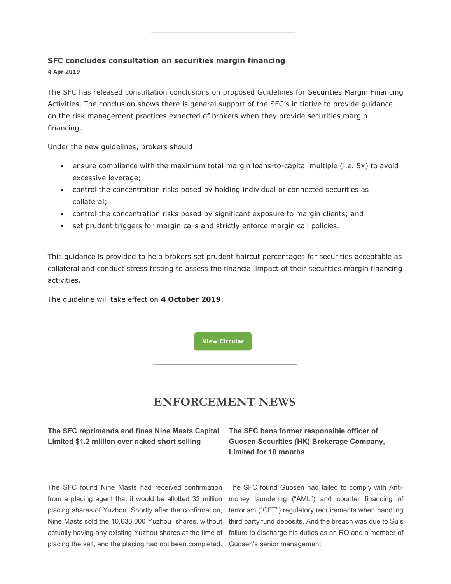#### SFC concludes consultation on securities margin financing

4 Apr 2019

The SFC has released consultation conclusions on proposed Guidelines for Securities Margin Financing Activities. The conclusion shows there is general support of the SFC's initiative to provide guidance on the risk management practices expected of brokers when they provide securities margin financing.

Under the new guidelines, brokers should:

- ensure compliance with the maximum total margin loans-to-capital multiple (i.e. 5x) to avoid excessive leverage;
- control the concentration risks posed by holding individual or connected securities as collateral;
- control the concentration risks posed by significant exposure to margin clients; and
- set prudent triggers for margin calls and strictly enforce margin call policies.

This guidance is provided to help brokers set prudent haircut percentages for securities acceptable as collateral and conduct stress testing to assess the financial impact of their securities margin financing activities.

The quideline will take effect on 4 October 2019.

View Circular

# ENFORCEMENT NEWS

## The SFC reprimands and fines Nine Masts Capital Limited \$1.2 million over naked short selling

The SFC found Nine Masts had received confirmation The SFC found Guosen had failed to comply with Antifrom a placing agent that it would be allotted 32 million placing shares of Yuzhou. Shortly after the confirmation, Nine Masts sold the 10,633,000 Yuzhou shares, without placing the sell, and the placing had not been completed. Guosen's senior management.

## The SFC bans former responsible officer of Guosen Securities (HK) Brokerage Company, Limited for 10 months

actually having any existing Yuzhou shares at the time of failure to discharge his duties as an RO and a member of money laundering ("AML") and counter financing of terrorism ("CFT") regulatory requirements when handling third party fund deposits. And the breach was due to Su's